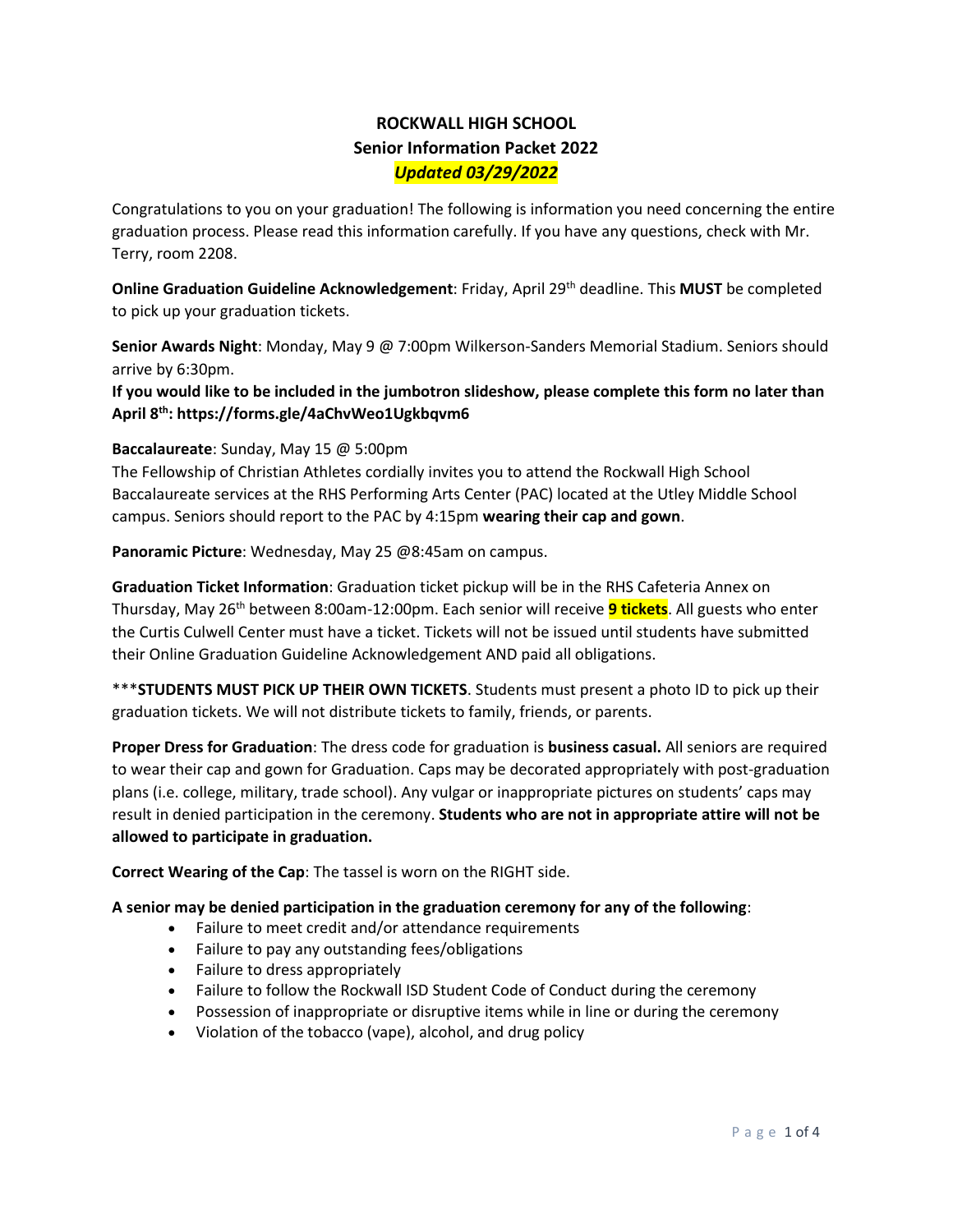### **ROCKWALL HIGH SCHOOL Senior Information Packet 2022** *Updated 03/29/2022*

Congratulations to you on your graduation! The following is information you need concerning the entire graduation process. Please read this information carefully. If you have any questions, check with Mr. Terry, room 2208.

**Online Graduation Guideline Acknowledgement**: Friday, April 29<sup>th</sup> deadline. This MUST be completed to pick up your graduation tickets.

**Senior Awards Night**: Monday, May 9 @ 7:00pm Wilkerson-Sanders Memorial Stadium. Seniors should arrive by 6:30pm.

**If you would like to be included in the jumbotron slideshow, please complete this form no later than April 8th: https://forms.gle/4aChvWeo1Ugkbqvm6**

#### **Baccalaureate**: Sunday, May 15 @ 5:00pm

The Fellowship of Christian Athletes cordially invites you to attend the Rockwall High School Baccalaureate services at the RHS Performing Arts Center (PAC) located at the Utley Middle School campus. Seniors should report to the PAC by 4:15pm **wearing their cap and gown**.

**Panoramic Picture**: Wednesday, May 25 @8:45am on campus.

**Graduation Ticket Information**: Graduation ticket pickup will be in the RHS Cafeteria Annex on Thursday, May 26th between 8:00am-12:00pm. Each senior will receive **9 tickets**. All guests who enter the Curtis Culwell Center must have a ticket. Tickets will not be issued until students have submitted their Online Graduation Guideline Acknowledgement AND paid all obligations.

\*\*\***STUDENTS MUST PICK UP THEIR OWN TICKETS**. Students must present a photo ID to pick up their graduation tickets. We will not distribute tickets to family, friends, or parents.

**Proper Dress for Graduation**: The dress code for graduation is **business casual.** All seniors are required to wear their cap and gown for Graduation. Caps may be decorated appropriately with post-graduation plans (i.e. college, military, trade school). Any vulgar or inappropriate pictures on students' caps may result in denied participation in the ceremony. **Students who are not in appropriate attire will not be allowed to participate in graduation.**

**Correct Wearing of the Cap**: The tassel is worn on the RIGHT side.

#### **A senior may be denied participation in the graduation ceremony for any of the following**:

- Failure to meet credit and/or attendance requirements
- Failure to pay any outstanding fees/obligations
- Failure to dress appropriately
- Failure to follow the Rockwall ISD Student Code of Conduct during the ceremony
- Possession of inappropriate or disruptive items while in line or during the ceremony
- Violation of the tobacco (vape), alcohol, and drug policy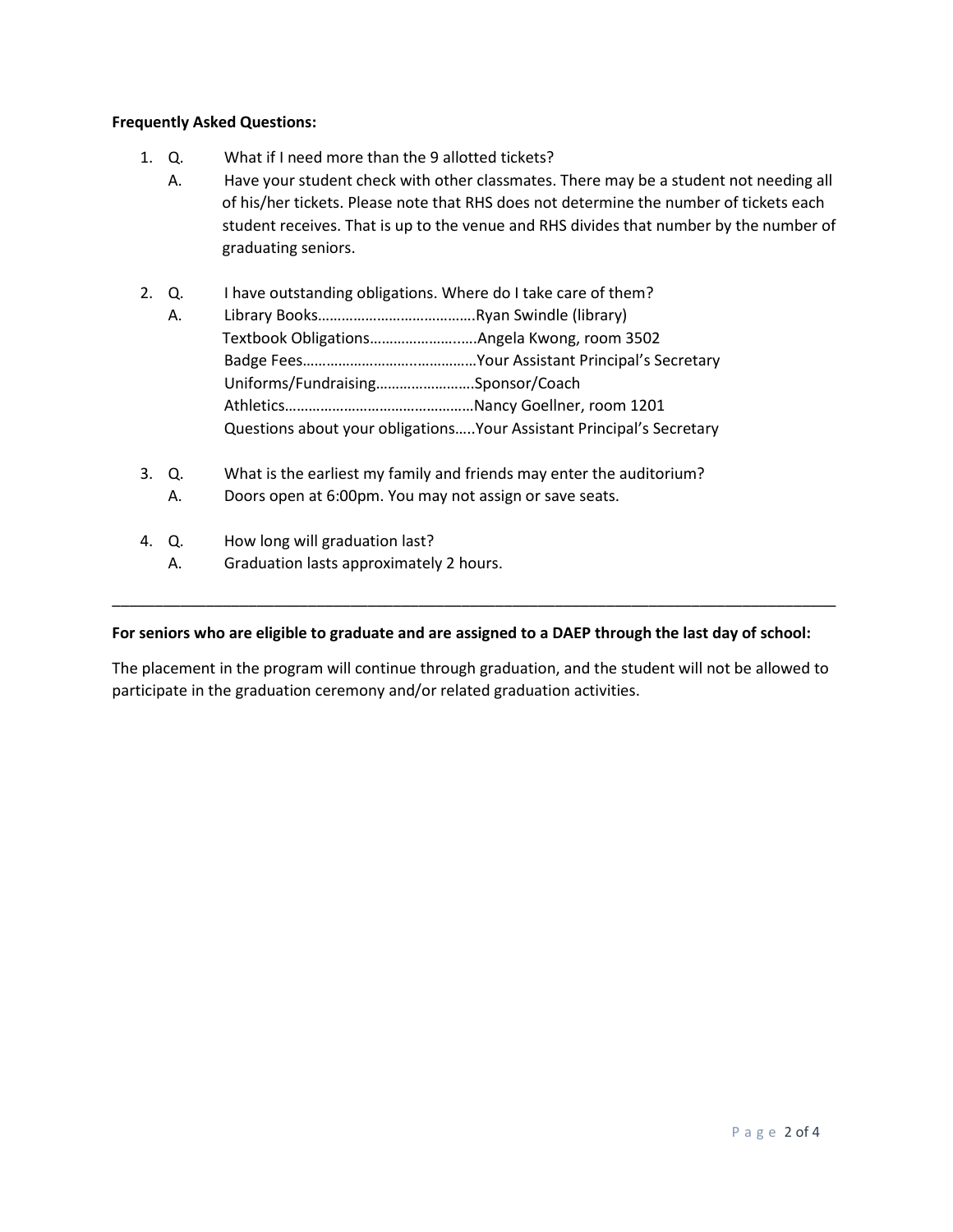#### **Frequently Asked Questions:**

- 1. Q. What if I need more than the 9 allotted tickets?
	- A. Have your student check with other classmates. There may be a student not needing all of his/her tickets. Please note that RHS does not determine the number of tickets each student receives. That is up to the venue and RHS divides that number by the number of graduating seniors.
- 2. Q. I have outstanding obligations. Where do I take care of them?
	- A. Library Books………………………………….Ryan Swindle (library) Textbook Obligations…………………..….Angela Kwong, room 3502 Badge Fees………………………..……………Your Assistant Principal's Secretary Uniforms/Fundraising…………………….Sponsor/Coach Athletics…………………………………………Nancy Goellner, room 1201 Questions about your obligations…..Your Assistant Principal's Secretary
- 3. Q. What is the earliest my family and friends may enter the auditorium?
	- A. Doors open at 6:00pm. You may not assign or save seats.
- 4. Q. How long will graduation last?
	- A. Graduation lasts approximately 2 hours.

#### **For seniors who are eligible to graduate and are assigned to a DAEP through the last day of school:**

The placement in the program will continue through graduation, and the student will not be allowed to participate in the graduation ceremony and/or related graduation activities.

\_\_\_\_\_\_\_\_\_\_\_\_\_\_\_\_\_\_\_\_\_\_\_\_\_\_\_\_\_\_\_\_\_\_\_\_\_\_\_\_\_\_\_\_\_\_\_\_\_\_\_\_\_\_\_\_\_\_\_\_\_\_\_\_\_\_\_\_\_\_\_\_\_\_\_\_\_\_\_\_\_\_\_\_\_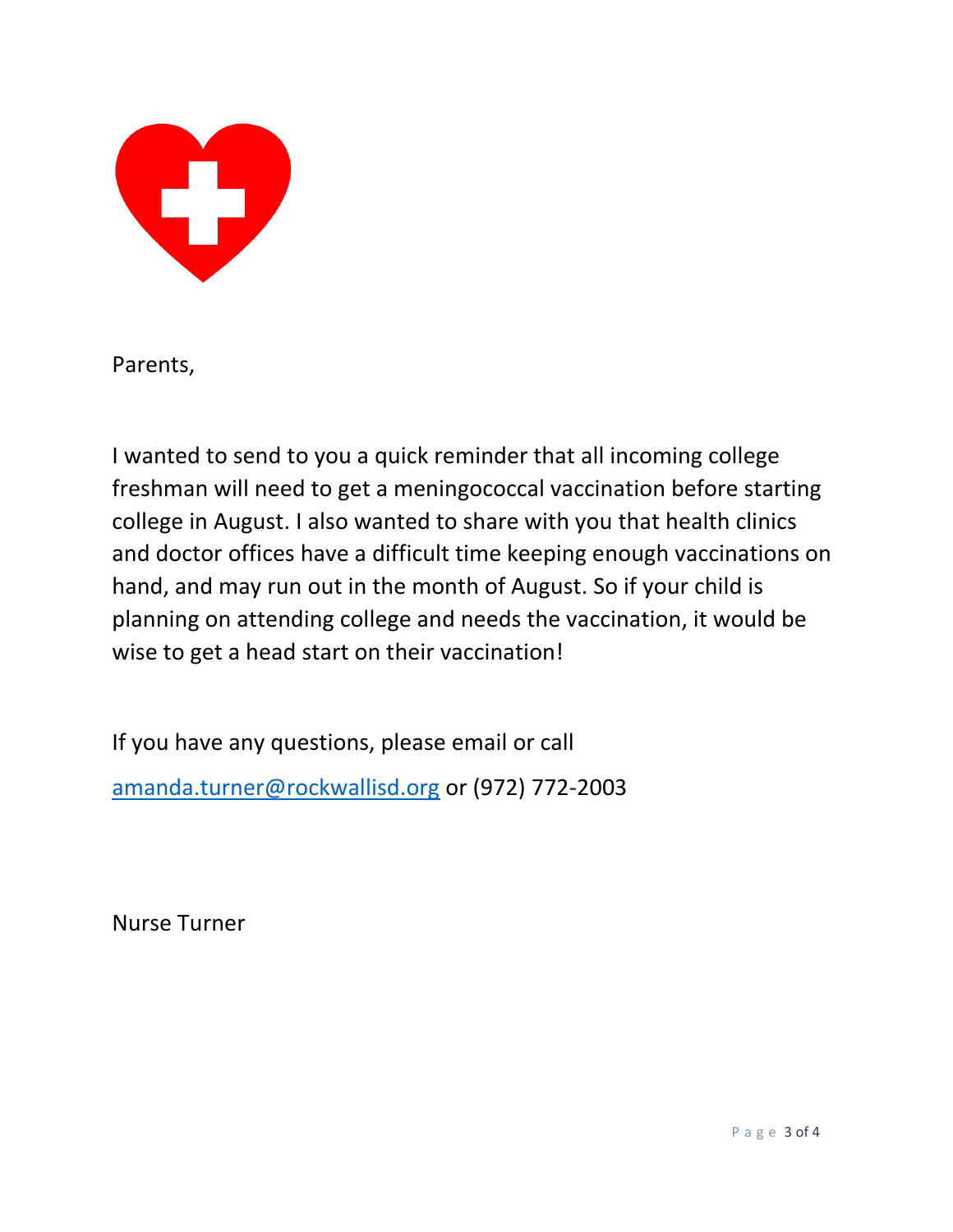

Parents,

I wanted to send to you a quick reminder that all incoming college freshman will need to get a meningococcal vaccination before starting college in August. I also wanted to share with you that health clinics and doctor offices have a difficult time keeping enough vaccinations on hand, and may run out in the month of August. So if your child is planning on attending college and needs the vaccination, it would be wise to get a head start on their vaccination!

If you have any questions, please email or call [amanda.turner@rockwallisd.org](mailto:amanda.turner@rockwallisd.org) or (972) 772-2003

Nurse Turner